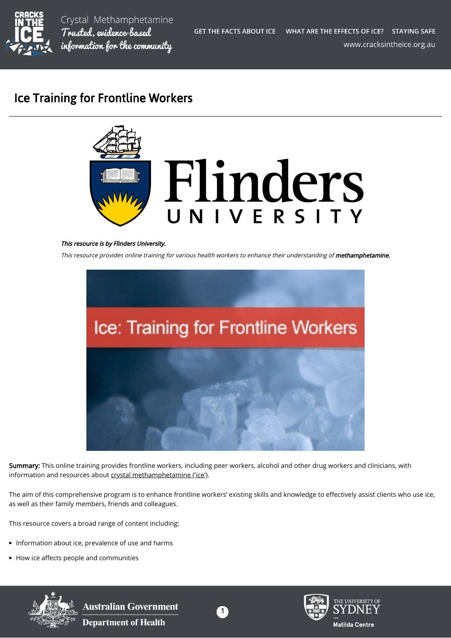

Crystal Methamphetamine Trusted, evidence-based information for the community

# Ice Training for Frontline Workers



## This resource is by Flinders University.

This resource provides online training for various health workers to enhance their understanding of methamphetamine.



Summary: This online training provides frontline workers, including peer workers, alcohol and other drug workers and clinicians, with information and resources about [crystal methamphetamine \('ice'\)](https://cracksintheice.org.au/what-is-ice).

The aim of this comprehensive program is to enhance frontline workers' existing skills and knowledge to effectively assist clients who use ice, as well as their family members, friends and colleagues.

This resource covers a broad range of content including:

- Information about ice, prevalence of use and harms
- How ice affects people and communities



**Australian Government Department of Health** 





THE UNIVERSITY OF **Matilda Centre**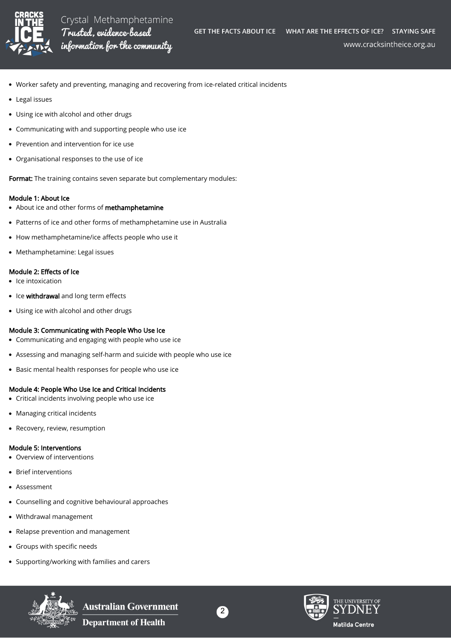

www.cracksintheice.org.au

- Worker safety and preventing, managing and recovering from ice-related critical incidents
- Legal issues
- Using ice with alcohol and other drugs
- $\bullet$ Communicating with and supporting people who use ice
- Prevention and intervention for ice use
- Organisational responses to the use of ice

Format: The training contains seven separate but complementary modules:

#### Module 1: About Ice

- About ice and other forms of methamphetamine
- Patterns of ice and other forms of methamphetamine use in Australia
- How methamphetamine/ice affects people who use it
- Methamphetamine: Legal issues

## Module 2: Effects of Ice

- $\bullet$  Ice intoxication
- Ice withdrawal and long term effects
- Using ice with alcohol and other drugs

## Module 3: Communicating with People Who Use Ice

- Communicating and engaging with people who use ice
- Assessing and managing self-harm and suicide with people who use ice
- Basic mental health responses for people who use ice

## Module 4: People Who Use Ice and Critical Incidents

- Critical incidents involving people who use ice  $\bullet$
- Managing critical incidents  $\bullet$
- Recovery, review, resumption

## Module 5: Interventions

- Overview of interventions
- Brief interventions
- Assessment
- Counselling and cognitive behavioural approaches
- $\bullet$ Withdrawal management
- Relapse prevention and management
- Groups with specific needs
- Supporting/working with families and carers



**Australian Government Department of Health**